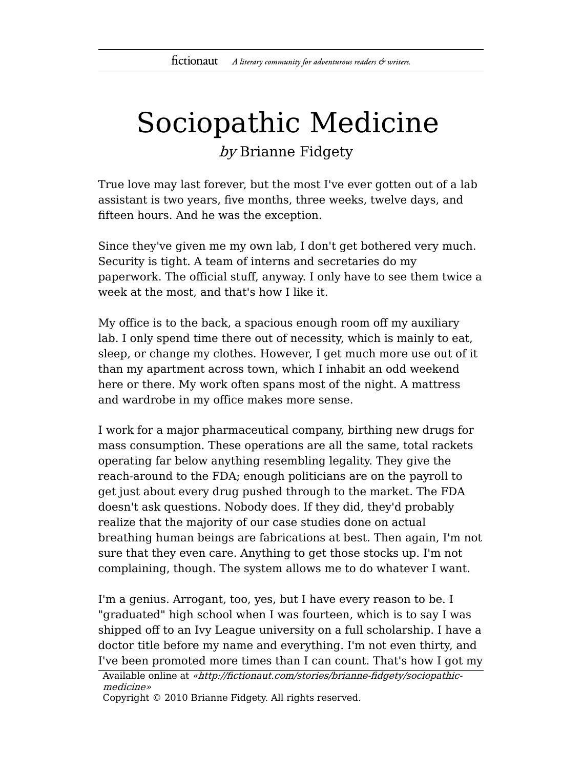## Sociopathic Medicine

by Brianne Fidgety

True love may last forever, but the most I've ever gotten out of a lab assistant is two years, five months, three weeks, twelve days, and fifteen hours. And he was the exception.

Since they've given me my own lab, I don't get bothered very much. Security is tight. A team of interns and secretaries do my paperwork. The official stuff, anyway. I only have to see them twice a week at the most, and that's how I like it.

My office is to the back, a spacious enough room off my auxiliary lab. I only spend time there out of necessity, which is mainly to eat, sleep, or change my clothes. However, I get much more use out of it than my apartment across town, which I inhabit an odd weekend here or there. My work often spans most of the night. A mattress and wardrobe in my office makes more sense.

I work for a major pharmaceutical company, birthing new drugs for mass consumption. These operations are all the same, total rackets operating far below anything resembling legality. They give the reach-around to the FDA; enough politicians are on the payroll to get just about every drug pushed through to the market. The FDA doesn't ask questions. Nobody does. If they did, they'd probably realize that the majority of our case studies done on actual breathing human beings are fabrications at best. Then again, I'm not sure that they even care. Anything to get those stocks up. I'm not complaining, though. The system allows me to do whatever I want.

I'm a genius. Arrogant, too, yes, but I have every reason to be. I "graduated" high school when I was fourteen, which is to say I was shipped off to an Ivy League university on a full scholarship. I have a doctor title before my name and everything. I'm not even thirty, and I've been promoted more times than I can count. That's how I got my

```
Available online at «http://fictionaut.com/stories/brianne-fidgety/sociopathic-
medicine»
```
Copyright © 2010 Brianne Fidgety. All rights reserved.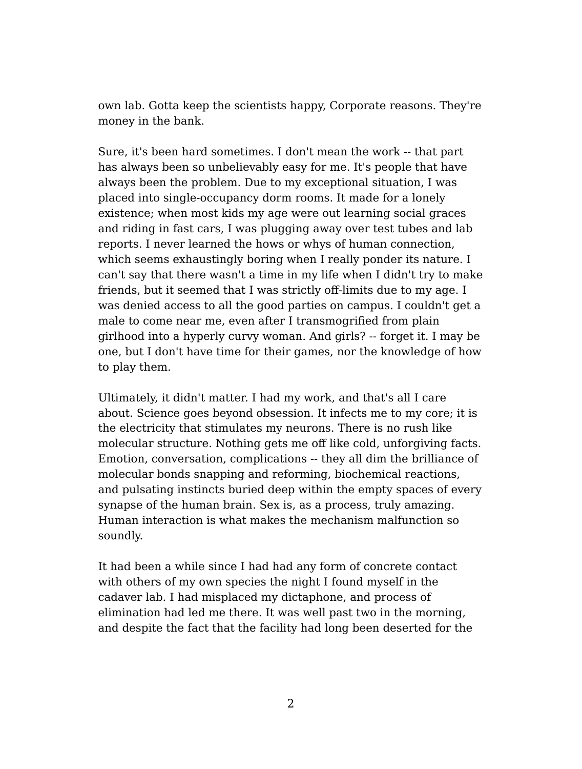own lab. Gotta keep the scientists happy, Corporate reasons. They're money in the bank.

Sure, it's been hard sometimes. I don't mean the work -- that part has always been so unbelievably easy for me. It's people that have always been the problem. Due to my exceptional situation, I was placed into single-occupancy dorm rooms. It made for a lonely existence; when most kids my age were out learning social graces and riding in fast cars, I was plugging away over test tubes and lab reports. I never learned the hows or whys of human connection, which seems exhaustingly boring when I really ponder its nature. I can't say that there wasn't a time in my life when I didn't try to make friends, but it seemed that I was strictly off-limits due to my age. I was denied access to all the good parties on campus. I couldn't get a male to come near me, even after I transmogrified from plain girlhood into a hyperly curvy woman. And girls? -- forget it. I may be one, but I don't have time for their games, nor the knowledge of how to play them.

Ultimately, it didn't matter. I had my work, and that's all I care about. Science goes beyond obsession. It infects me to my core; it is the electricity that stimulates my neurons. There is no rush like molecular structure. Nothing gets me off like cold, unforgiving facts. Emotion, conversation, complications -- they all dim the brilliance of molecular bonds snapping and reforming, biochemical reactions, and pulsating instincts buried deep within the empty spaces of every synapse of the human brain. Sex is, as a process, truly amazing. Human interaction is what makes the mechanism malfunction so soundly.

It had been a while since I had had any form of concrete contact with others of my own species the night I found myself in the cadaver lab. I had misplaced my dictaphone, and process of elimination had led me there. It was well past two in the morning, and despite the fact that the facility had long been deserted for the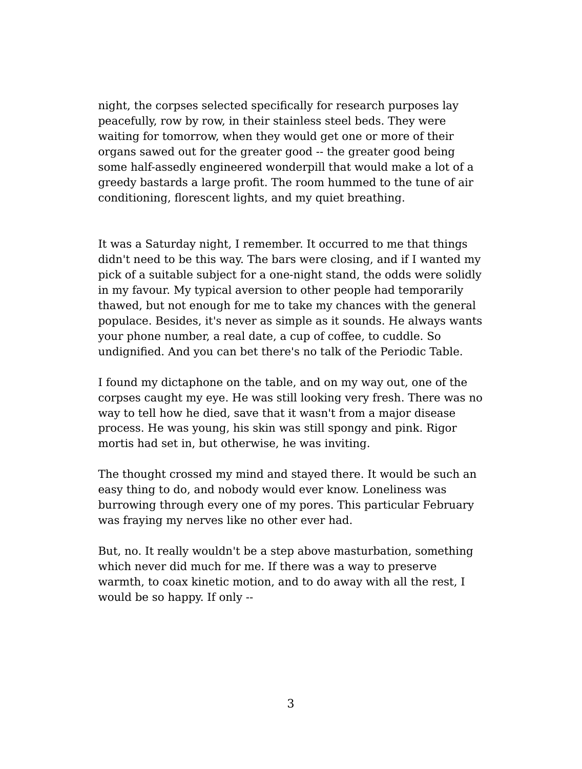night, the corpses selected specifically for research purposes lay peacefully, row by row, in their stainless steel beds. They were waiting for tomorrow, when they would get one or more of their organs sawed out for the greater good -- the greater good being some half-assedly engineered wonderpill that would make a lot of a greedy bastards a large profit. The room hummed to the tune of air conditioning, florescent lights, and my quiet breathing.

It was a Saturday night, I remember. It occurred to me that things didn't need to be this way. The bars were closing, and if I wanted my pick of a suitable subject for a one-night stand, the odds were solidly in my favour. My typical aversion to other people had temporarily thawed, but not enough for me to take my chances with the general populace. Besides, it's never as simple as it sounds. He always wants your phone number, a real date, a cup of coffee, to cuddle. So undignified. And you can bet there's no talk of the Periodic Table.

I found my dictaphone on the table, and on my way out, one of the corpses caught my eye. He was still looking very fresh. There was no way to tell how he died, save that it wasn't from a major disease process. He was young, his skin was still spongy and pink. Rigor mortis had set in, but otherwise, he was inviting.

The thought crossed my mind and stayed there. It would be such an easy thing to do, and nobody would ever know. Loneliness was burrowing through every one of my pores. This particular February was fraying my nerves like no other ever had.

But, no. It really wouldn't be a step above masturbation, something which never did much for me. If there was a way to preserve warmth, to coax kinetic motion, and to do away with all the rest, I would be so happy. If only --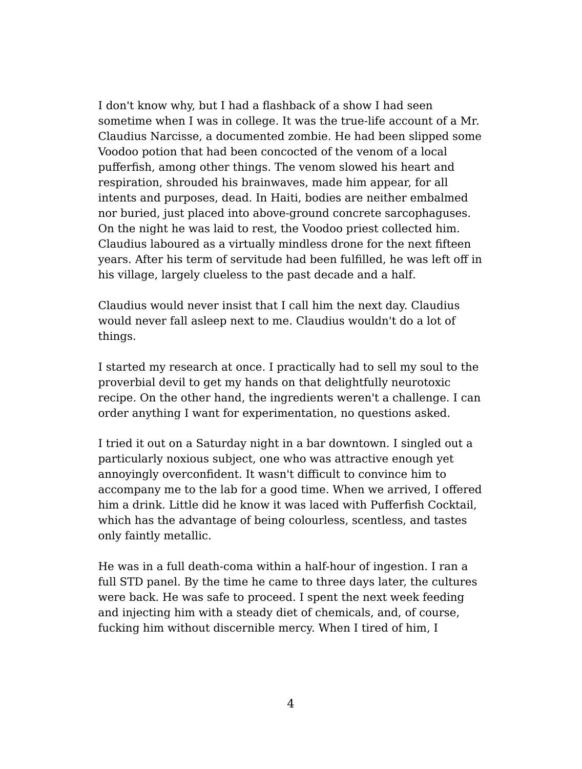I don't know why, but I had a flashback of a show I had seen sometime when I was in college. It was the true-life account of a Mr. Claudius Narcisse, a documented zombie. He had been slipped some Voodoo potion that had been concocted of the venom of a local pufferfish, among other things. The venom slowed his heart and respiration, shrouded his brainwaves, made him appear, for all intents and purposes, dead. In Haiti, bodies are neither embalmed nor buried, just placed into above-ground concrete sarcophaguses. On the night he was laid to rest, the Voodoo priest collected him. Claudius laboured as a virtually mindless drone for the next fifteen years. After his term of servitude had been fulfilled, he was left off in his village, largely clueless to the past decade and a half.

Claudius would never insist that I call him the next day. Claudius would never fall asleep next to me. Claudius wouldn't do a lot of things.

I started my research at once. I practically had to sell my soul to the proverbial devil to get my hands on that delightfully neurotoxic recipe. On the other hand, the ingredients weren't a challenge. I can order anything I want for experimentation, no questions asked.

I tried it out on a Saturday night in a bar downtown. I singled out a particularly noxious subject, one who was attractive enough yet annoyingly overconfident. It wasn't difficult to convince him to accompany me to the lab for a good time. When we arrived, I offered him a drink. Little did he know it was laced with Pufferfish Cocktail, which has the advantage of being colourless, scentless, and tastes only faintly metallic.

He was in a full death-coma within a half-hour of ingestion. I ran a full STD panel. By the time he came to three days later, the cultures were back. He was safe to proceed. I spent the next week feeding and injecting him with a steady diet of chemicals, and, of course, fucking him without discernible mercy. When I tired of him, I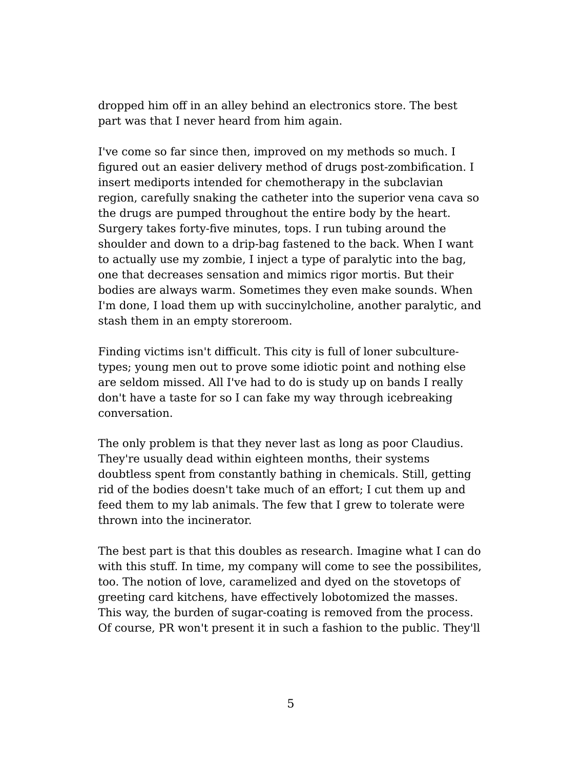dropped him off in an alley behind an electronics store. The best part was that I never heard from him again.

I've come so far since then, improved on my methods so much. I figured out an easier delivery method of drugs post-zombification. I insert mediports intended for chemotherapy in the subclavian region, carefully snaking the catheter into the superior vena cava so the drugs are pumped throughout the entire body by the heart. Surgery takes forty-five minutes, tops. I run tubing around the shoulder and down to a drip-bag fastened to the back. When I want to actually use my zombie, I inject a type of paralytic into the bag, one that decreases sensation and mimics rigor mortis. But their bodies are always warm. Sometimes they even make sounds. When I'm done, I load them up with succinylcholine, another paralytic, and stash them in an empty storeroom.

Finding victims isn't difficult. This city is full of loner subculturetypes; young men out to prove some idiotic point and nothing else are seldom missed. All I've had to do is study up on bands I really don't have a taste for so I can fake my way through icebreaking conversation.

The only problem is that they never last as long as poor Claudius. They're usually dead within eighteen months, their systems doubtless spent from constantly bathing in chemicals. Still, getting rid of the bodies doesn't take much of an effort; I cut them up and feed them to my lab animals. The few that I grew to tolerate were thrown into the incinerator.

The best part is that this doubles as research. Imagine what I can do with this stuff. In time, my company will come to see the possibilites, too. The notion of love, caramelized and dyed on the stovetops of greeting card kitchens, have effectively lobotomized the masses. This way, the burden of sugar-coating is removed from the process. Of course, PR won't present it in such a fashion to the public. They'll